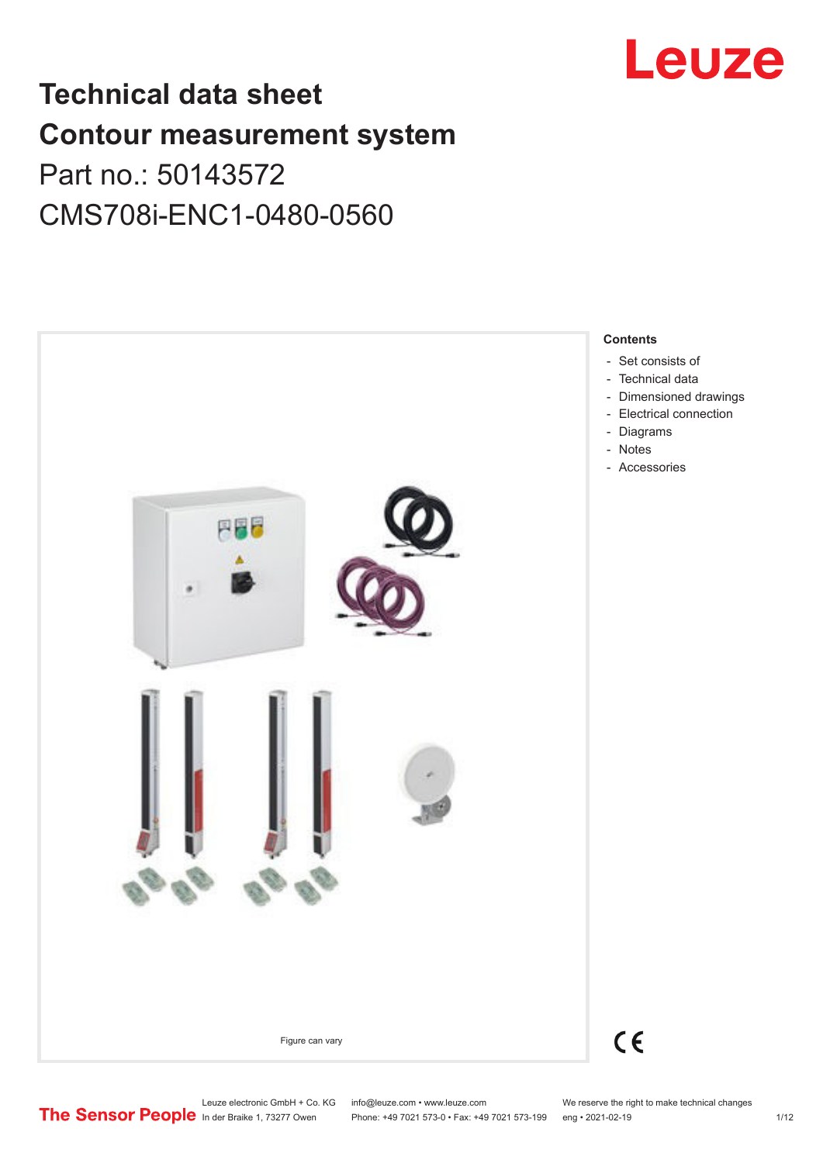

# **Technical data sheet Contour measurement system** Part no.: 50143572

# CMS708i-ENC1-0480-0560



Leuze electronic GmbH + Co. KG info@leuze.com • www.leuze.com We reserve the right to make technical changes<br>
The Sensor People in der Braike 1, 73277 Owen Phone: +49 7021 573-0 • Fax: +49 7021 573-199 eng • 2021-02-19

Phone: +49 7021 573-0 • Fax: +49 7021 573-199 eng • 2021-02-19 1/12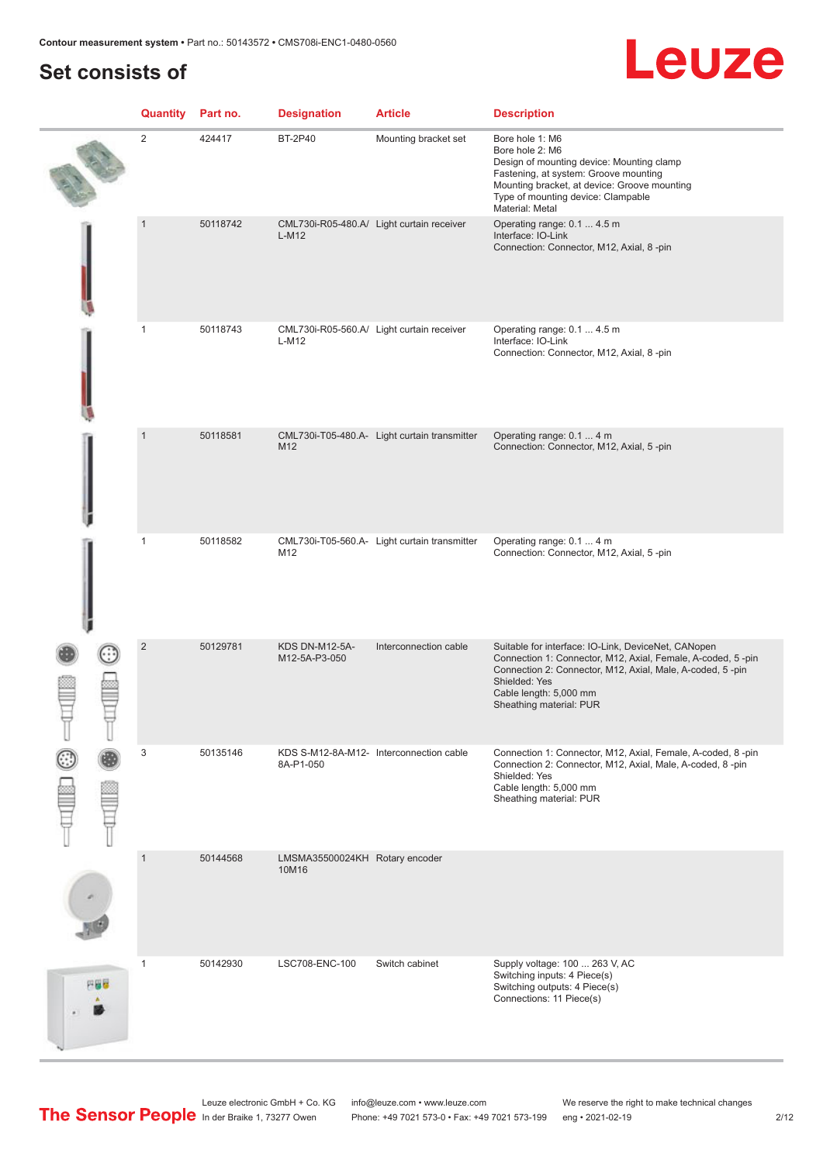# **Set consists of**

# Leuze

|     | Quantity       | Part no. | <b>Designation</b>                      | <b>Article</b>                               | <b>Description</b>                                                                                                                                                                                                                                    |
|-----|----------------|----------|-----------------------------------------|----------------------------------------------|-------------------------------------------------------------------------------------------------------------------------------------------------------------------------------------------------------------------------------------------------------|
|     | $\overline{2}$ | 424417   | <b>BT-2P40</b>                          | Mounting bracket set                         | Bore hole 1: M6<br>Bore hole 2: M6<br>Design of mounting device: Mounting clamp<br>Fastening, at system: Groove mounting<br>Mounting bracket, at device: Groove mounting<br>Type of mounting device: Clampable<br>Material: Metal                     |
|     | $\mathbf{1}$   | 50118742 | $L-M12$                                 | CML730i-R05-480.A/ Light curtain receiver    | Operating range: 0.1  4.5 m<br>Interface: IO-Link<br>Connection: Connector, M12, Axial, 8-pin                                                                                                                                                         |
|     | $\mathbf{1}$   | 50118743 | $L-M12$                                 | CML730i-R05-560.A/ Light curtain receiver    | Operating range: 0.1  4.5 m<br>Interface: IO-Link<br>Connection: Connector, M12, Axial, 8-pin                                                                                                                                                         |
|     | $\mathbf{1}$   | 50118581 | M12                                     | CML730i-T05-480.A- Light curtain transmitter | Operating range: 0.1  4 m<br>Connection: Connector, M12, Axial, 5-pin                                                                                                                                                                                 |
|     | $\mathbf{1}$   | 50118582 | M12                                     | CML730i-T05-560.A- Light curtain transmitter | Operating range: 0.1  4 m<br>Connection: Connector, M12, Axial, 5-pin                                                                                                                                                                                 |
|     | $\overline{2}$ | 50129781 | <b>KDS DN-M12-5A-</b><br>M12-5A-P3-050  | Interconnection cable                        | Suitable for interface: IO-Link, DeviceNet, CANopen<br>Connection 1: Connector, M12, Axial, Female, A-coded, 5-pin<br>Connection 2: Connector, M12, Axial, Male, A-coded, 5-pin<br>Shielded: Yes<br>Cable length: 5,000 mm<br>Sheathing material: PUR |
|     | 3              | 50135146 | 8A-P1-050                               | KDS S-M12-8A-M12- Interconnection cable      | Connection 1: Connector, M12, Axial, Female, A-coded, 8 -pin<br>Connection 2: Connector, M12, Axial, Male, A-coded, 8-pin<br>Shielded: Yes<br>Cable length: 5,000 mm<br>Sheathing material: PUR                                                       |
|     | $\mathbf{1}$   | 50144568 | LMSMA35500024KH Rotary encoder<br>10M16 |                                              |                                                                                                                                                                                                                                                       |
| 円線り | $\mathbf{1}$   | 50142930 | LSC708-ENC-100                          | Switch cabinet                               | Supply voltage: 100  263 V, AC<br>Switching inputs: 4 Piece(s)<br>Switching outputs: 4 Piece(s)<br>Connections: 11 Piece(s)                                                                                                                           |

In der Braike 1, 73277 Owen Phone: +49 7021 573-0 • Fax: +49 7021 573-199 eng • 2021-02-19 2/12

Leuze electronic GmbH + Co. KG info@leuze.com • www.leuze.com We reserve the right to make technical changes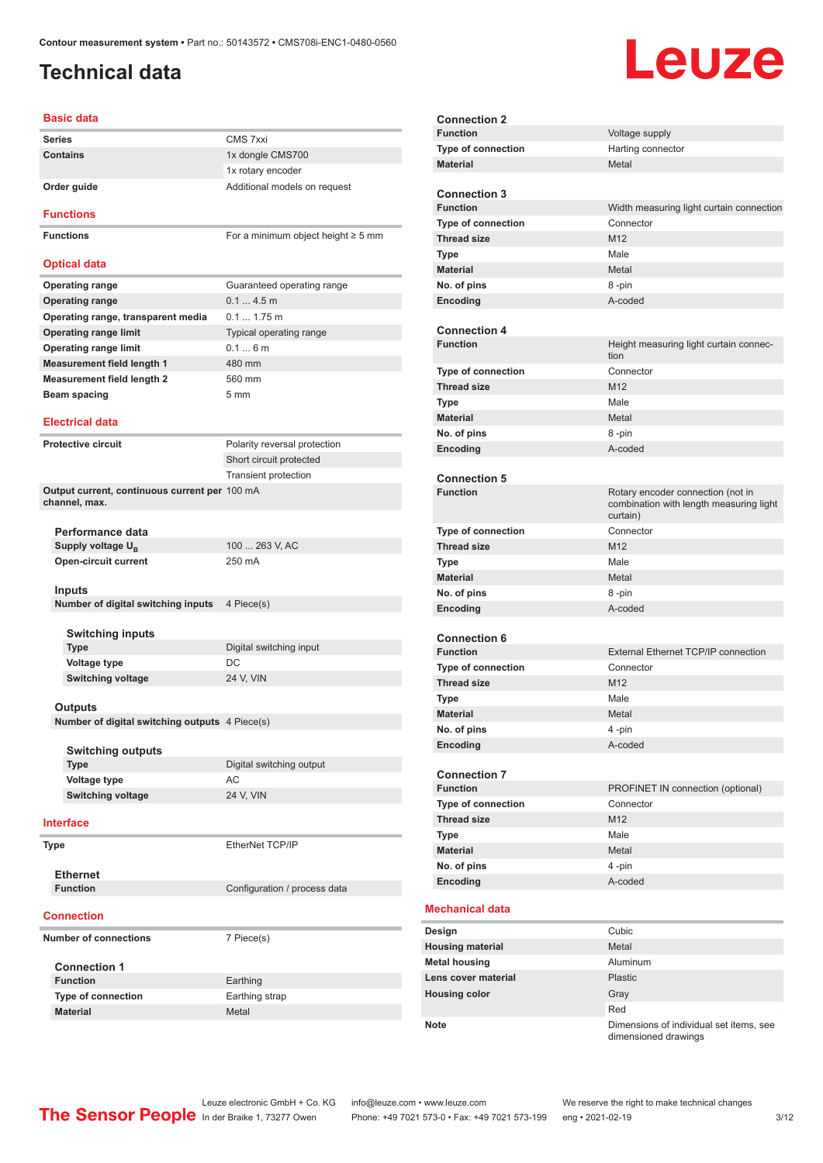# <span id="page-2-0"></span>**Technical data**

# **Leuze**

| Basic data                                                |                                         |
|-----------------------------------------------------------|-----------------------------------------|
| <b>Series</b>                                             | CMS 7xxi                                |
| Contains                                                  | 1x dongle CMS700                        |
|                                                           | 1x rotary encoder                       |
| Order guide                                               | Additional models on request            |
|                                                           |                                         |
| <b>Functions</b>                                          |                                         |
| <b>Functions</b>                                          | For a minimum object height $\geq$ 5 mm |
|                                                           |                                         |
| <b>Optical data</b>                                       |                                         |
| <b>Operating range</b>                                    | Guaranteed operating range              |
| <b>Operating range</b>                                    | 0.14.5m                                 |
| Operating range, transparent media                        | $0.1 1.75$ m                            |
| <b>Operating range limit</b>                              | Typical operating range                 |
| <b>Operating range limit</b>                              | 0.16m                                   |
| <b>Measurement field length 1</b>                         | 480 mm                                  |
| <b>Measurement field length 2</b>                         | 560 mm                                  |
| Beam spacing                                              | 5 <sub>mm</sub>                         |
|                                                           |                                         |
| <b>Electrical data</b>                                    |                                         |
| <b>Protective circuit</b>                                 | Polarity reversal protection            |
|                                                           | Short circuit protected                 |
|                                                           | <b>Transient protection</b>             |
| Output current, continuous current per 100 mA             |                                         |
| channel, max.                                             |                                         |
|                                                           |                                         |
| Performance data<br>Supply voltage U <sub>B</sub>         | 100  263 V, AC                          |
| Open-circuit current                                      | 250 mA                                  |
|                                                           |                                         |
| Inputs                                                    |                                         |
| Number of digital switching inputs                        | 4 Piece(s)                              |
|                                                           |                                         |
| <b>Switching inputs</b>                                   |                                         |
| <b>Type</b>                                               | Digital switching input                 |
| <b>Voltage type</b>                                       | DC                                      |
| <b>Switching voltage</b>                                  | 24 V, VIN                               |
|                                                           |                                         |
| Outputs<br>Number of digital switching outputs 4 Piece(s) |                                         |
|                                                           |                                         |
| <b>Switching outputs</b>                                  |                                         |
| Type                                                      | Digital switching output                |
| Voltage type                                              | AC                                      |
| <b>Switching voltage</b>                                  | 24 V, VIN                               |
|                                                           |                                         |
| Interface                                                 |                                         |
| <b>Type</b>                                               | EtherNet TCP/IP                         |
|                                                           |                                         |
| <b>Ethernet</b>                                           |                                         |
| <b>Function</b>                                           | Configuration / process data            |
|                                                           |                                         |
| <b>Connection</b>                                         |                                         |
| <b>Number of connections</b>                              | 7 Piece(s)                              |
|                                                           |                                         |
| <b>Connection 1</b>                                       |                                         |
| <b>Function</b>                                           | Earthing                                |
| <b>Type of connection</b>                                 | Earthing strap                          |
| Material                                                  | Metal                                   |

| <b>Connection 2</b>       |                                                                                          |
|---------------------------|------------------------------------------------------------------------------------------|
| <b>Function</b>           | Voltage supply                                                                           |
| Type of connection        | Harting connector                                                                        |
| <b>Material</b>           | Metal                                                                                    |
|                           |                                                                                          |
| <b>Connection 3</b>       |                                                                                          |
| <b>Function</b>           | Width measuring light curtain connection                                                 |
| <b>Type of connection</b> | Connector                                                                                |
| <b>Thread size</b>        | M <sub>12</sub>                                                                          |
| Type                      | Male                                                                                     |
| <b>Material</b>           | Metal                                                                                    |
| No. of pins               | 8-pin                                                                                    |
| Encoding                  | A-coded                                                                                  |
|                           |                                                                                          |
| <b>Connection 4</b>       |                                                                                          |
| <b>Function</b>           | Height measuring light curtain connec-<br>tion                                           |
| <b>Type of connection</b> | Connector                                                                                |
| <b>Thread size</b>        | M <sub>12</sub>                                                                          |
| <b>Type</b>               | Male                                                                                     |
| <b>Material</b>           | Metal                                                                                    |
| No. of pins               | 8-pin                                                                                    |
| <b>Encoding</b>           | A-coded                                                                                  |
|                           |                                                                                          |
| <b>Connection 5</b>       |                                                                                          |
| <b>Function</b>           | Rotary encoder connection (not in<br>combination with length measuring light<br>curtain) |
| <b>Type of connection</b> | Connector                                                                                |
| <b>Thread size</b>        | M12                                                                                      |
| <b>Type</b>               | Male                                                                                     |
| <b>Material</b>           | Metal                                                                                    |
| No. of pins               | 8-pin                                                                                    |
| Encoding                  | A-coded                                                                                  |
|                           |                                                                                          |
| <b>Connection 6</b>       |                                                                                          |
| <b>Function</b>           | <b>External Ethernet TCP/IP connection</b>                                               |
| Type of connection        | Connector                                                                                |
| <b>Thread size</b>        | M12                                                                                      |
| Type                      | Male                                                                                     |
| <b>Material</b>           | Metal                                                                                    |
| No. of pins               | 4 -pin                                                                                   |
| Encoding                  | A-coded                                                                                  |
|                           |                                                                                          |
| <b>Connection 7</b>       |                                                                                          |
| <b>Function</b>           | PROFINET IN connection (optional)                                                        |
| Type of connection        | Connector                                                                                |
| <b>Thread size</b>        | M <sub>12</sub>                                                                          |
| <b>Type</b>               | Male                                                                                     |
| <b>Material</b>           | Metal                                                                                    |
| No. of pins               | 4-pin                                                                                    |
| Encoding                  | A-coded                                                                                  |
|                           |                                                                                          |
| <b>Mechanical data</b>    |                                                                                          |
| Design                    | Cubic                                                                                    |
| <b>Housing material</b>   | Metal                                                                                    |
| <b>Metal housing</b>      | Aluminum                                                                                 |
| Lens cover material       | <b>Plastic</b>                                                                           |
| <b>Housing color</b>      | Gray                                                                                     |
|                           | Red                                                                                      |
| Note                      | Dimensions of individual set items, see<br>dimensioned drawings                          |

Leuze electronic GmbH + Co. KG info@leuze.com • www.leuze.com We reserve the right to make technical changes In der Braike 1, 73277 Owen Phone: +49 7021 573-0 • Fax: +49 7021 573-199 eng • 2021-02-19 3/12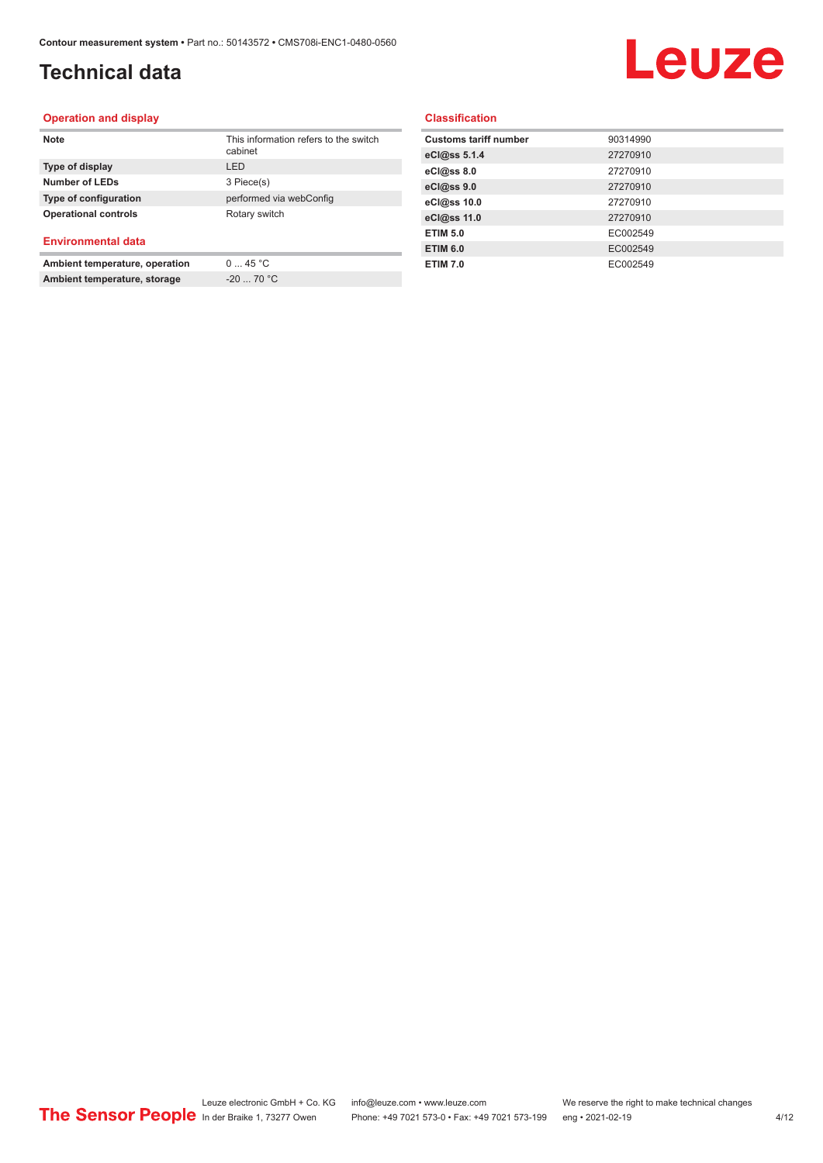# **Technical data**

# Leuze

#### **Operation and display**

| <b>Note</b>                    | This information refers to the switch<br>cabinet |
|--------------------------------|--------------------------------------------------|
| Type of display                | I FD                                             |
| <b>Number of LEDs</b>          | 3 Piece(s)                                       |
| Type of configuration          | performed via webConfig                          |
| <b>Operational controls</b>    | Rotary switch                                    |
| <b>Environmental data</b>      |                                                  |
| Ambient temperature, operation | 045 °C                                           |

**Ambient temperature, storage** -20 ... 70 °C

**Classification**

| 90314990 |
|----------|
| 27270910 |
| 27270910 |
| 27270910 |
| 27270910 |
| 27270910 |
| EC002549 |
| EC002549 |
| EC002549 |
|          |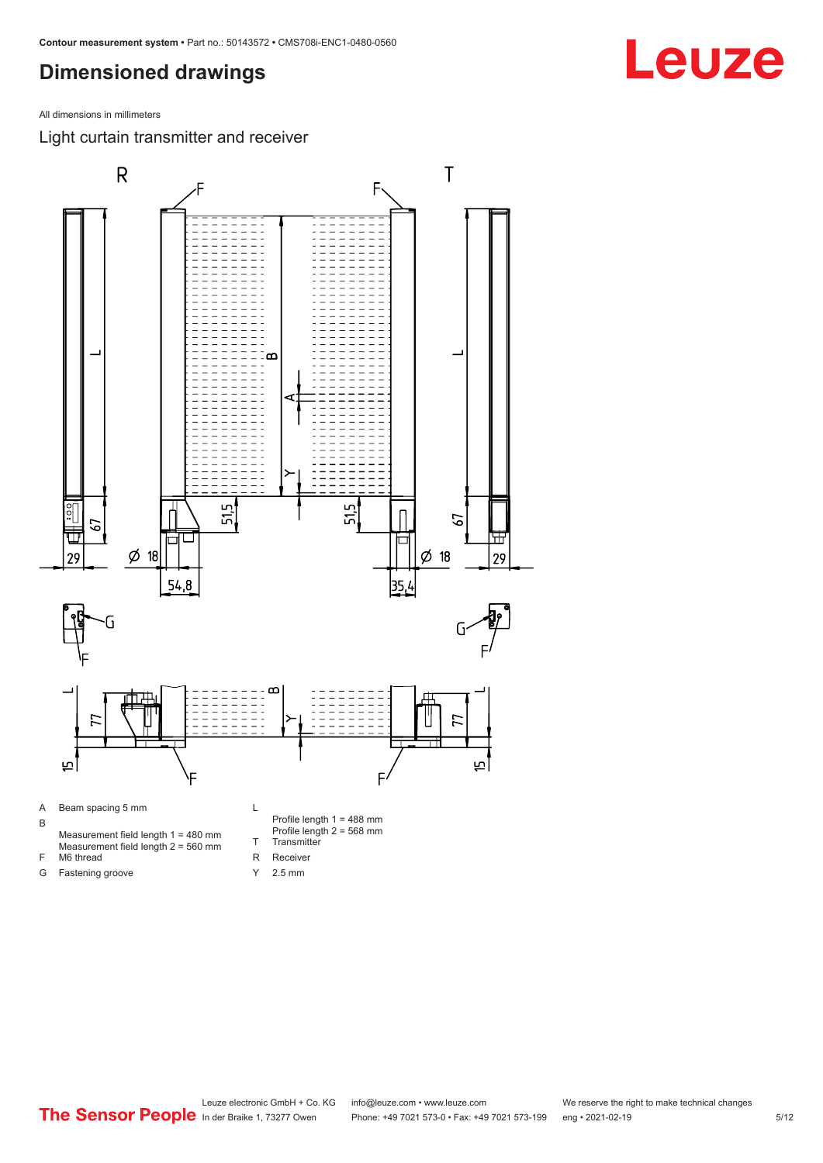<span id="page-4-0"></span>All dimensions in millimeters

Light curtain transmitter and receiver



Y 2.5 mm

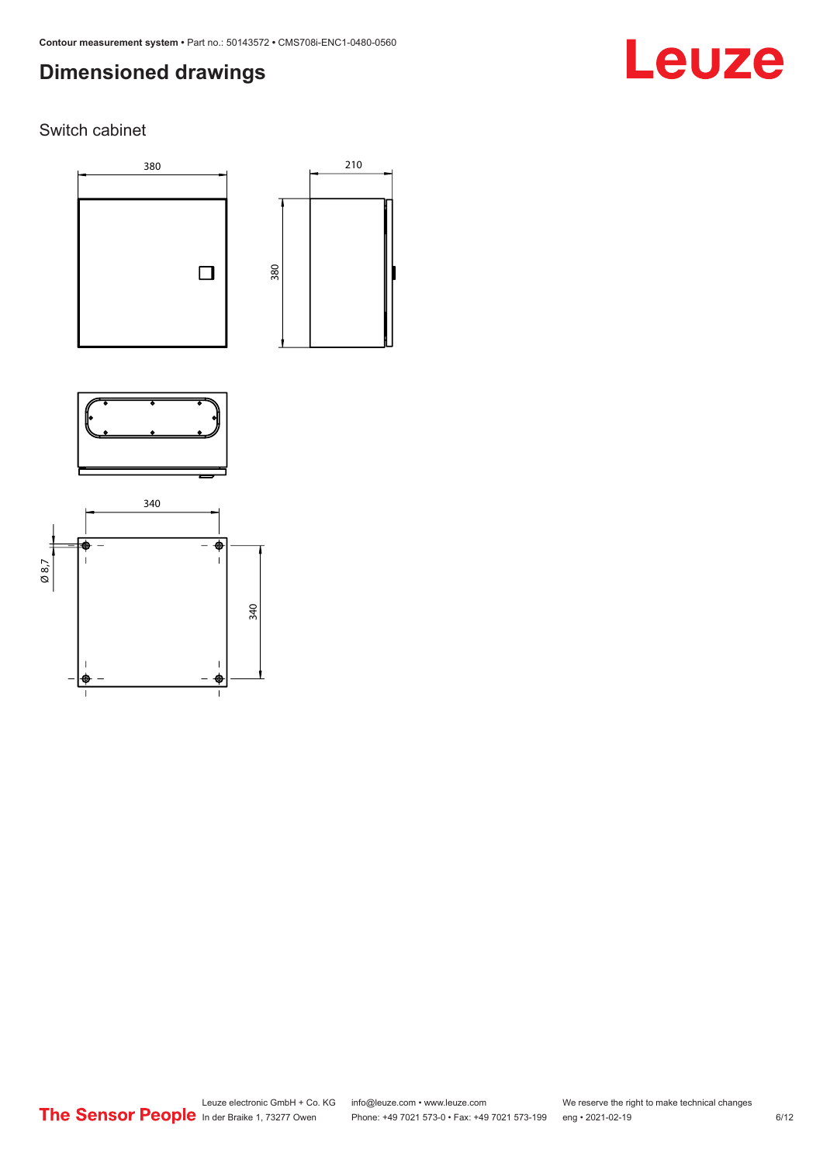# Leuze

### Switch cabinet





210



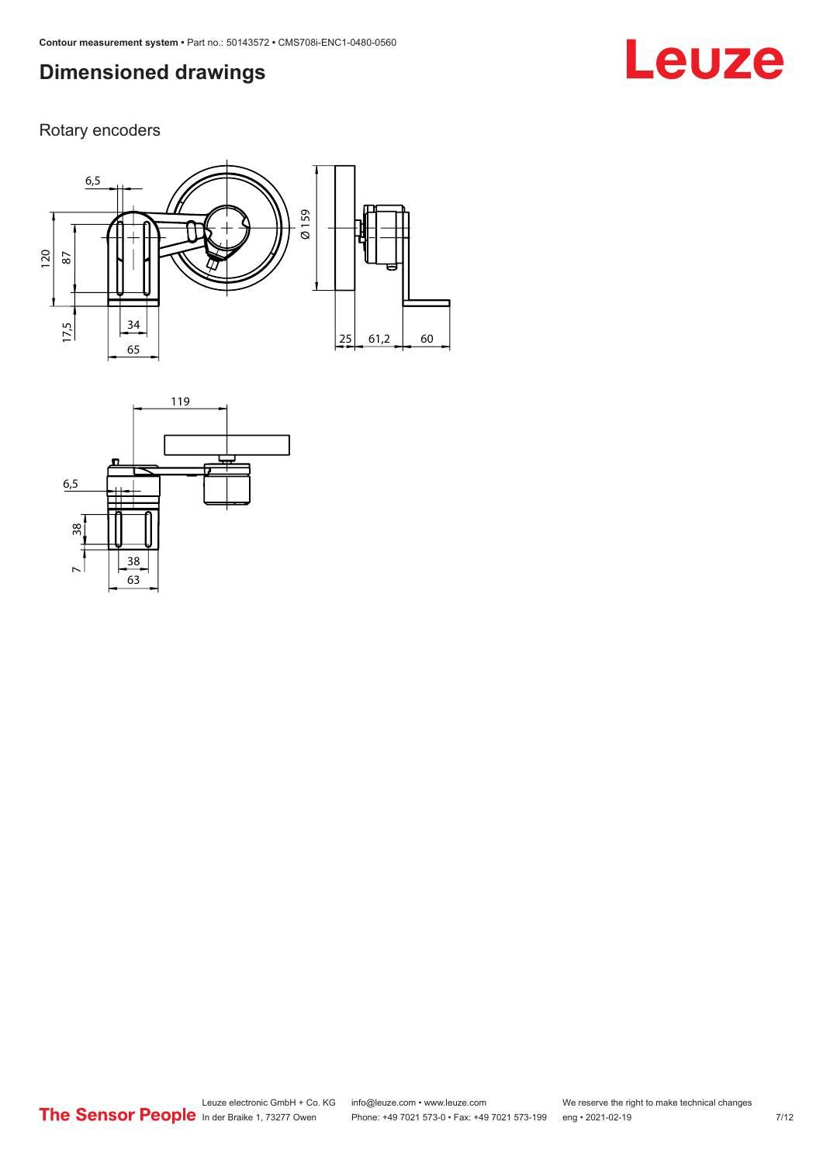# **Leuze**

Rotary encoders



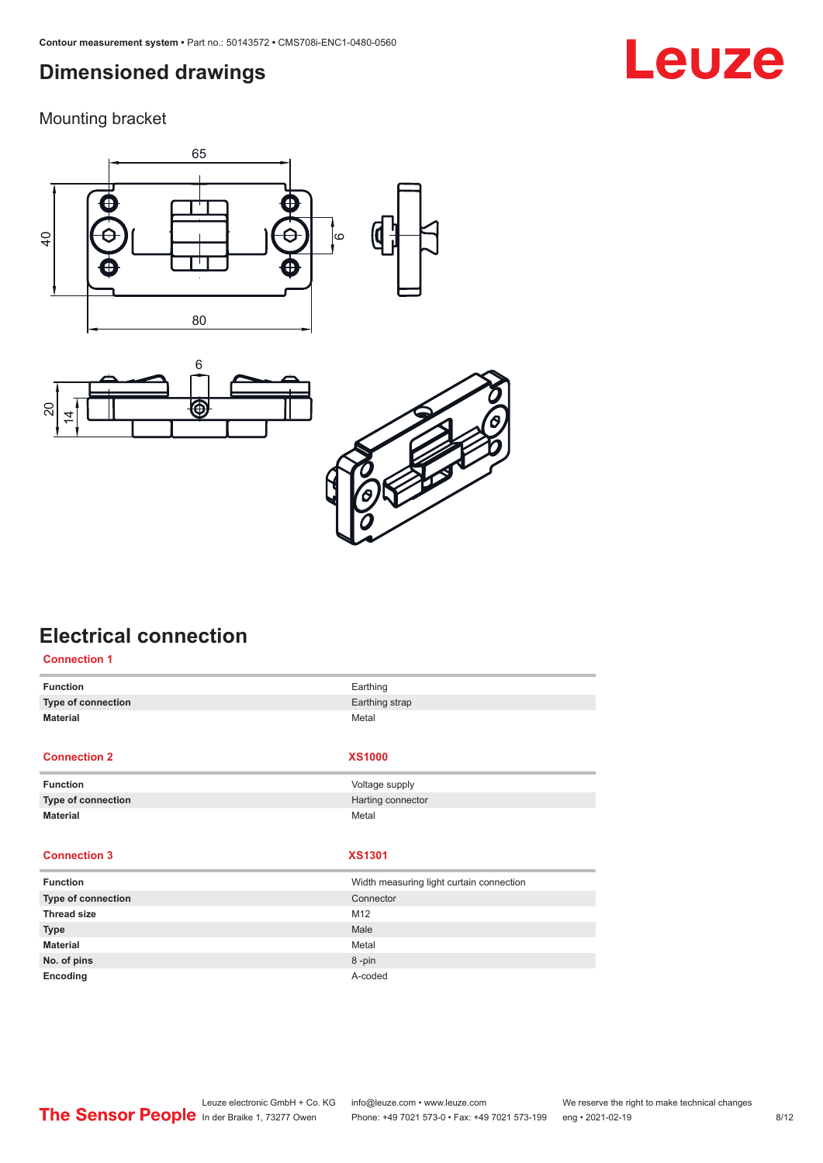<span id="page-7-0"></span>Mounting bracket







# **Electrical connection**

| <b>Connection 1</b> |                                          |
|---------------------|------------------------------------------|
| <b>Function</b>     | Earthing                                 |
| Type of connection  | Earthing strap                           |
| <b>Material</b>     | Metal                                    |
|                     |                                          |
| <b>Connection 2</b> | <b>XS1000</b>                            |
| <b>Function</b>     | Voltage supply                           |
| Type of connection  | Harting connector                        |
| <b>Material</b>     | Metal                                    |
|                     |                                          |
| <b>Connection 3</b> | <b>XS1301</b>                            |
| <b>Function</b>     | Width measuring light curtain connection |
| Type of connection  | Connector                                |
| <b>Thread size</b>  | M12                                      |
| <b>Type</b>         | Male                                     |
| <b>Material</b>     | Metal                                    |
| No. of pins         | 8-pin                                    |
| Encoding            | A-coded                                  |

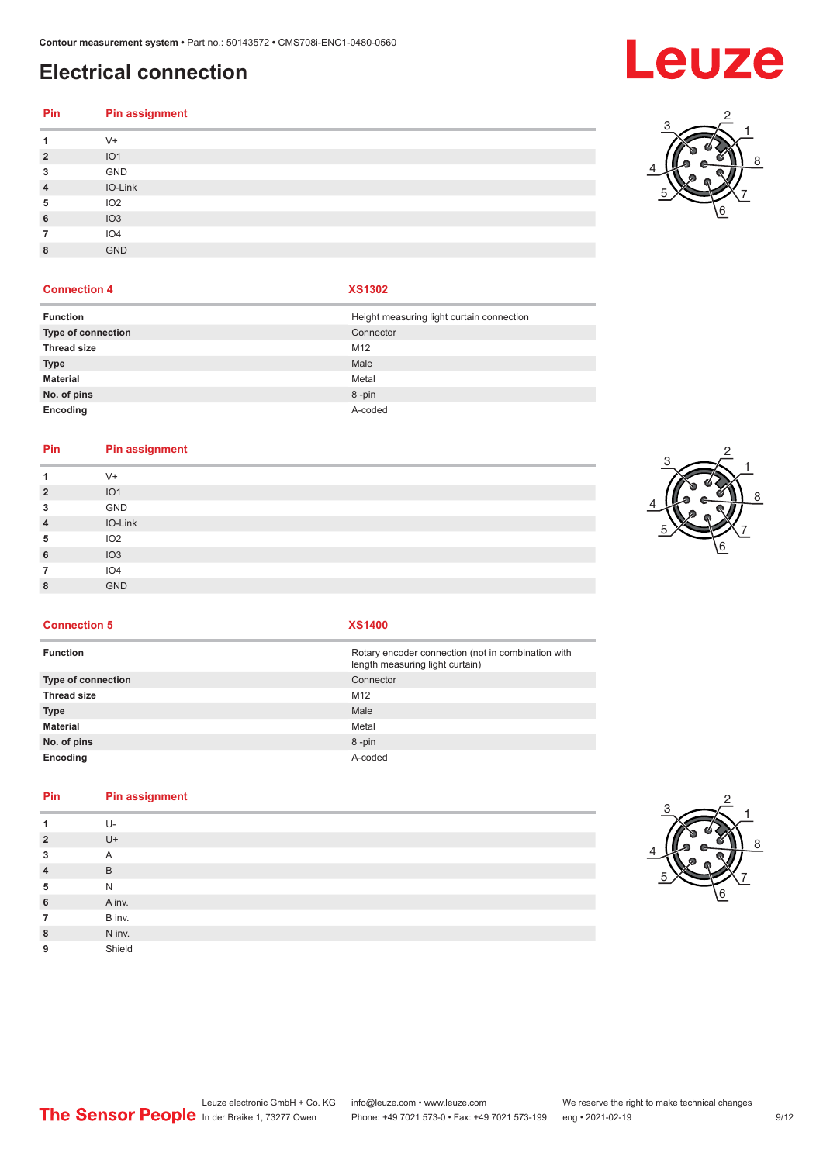# **Electrical connection**

| Pin                     | <b>Pin assignment</b> |
|-------------------------|-----------------------|
| 1                       | $V +$                 |
| $\overline{\mathbf{c}}$ | IO <sub>1</sub>       |
| 3                       | GND                   |
| 4                       | IO-Link               |
| 5                       | IO <sub>2</sub>       |
| 6                       | IO3                   |
| 7                       | IO <sub>4</sub>       |
| 8                       | <b>GND</b>            |
|                         |                       |

### **Connection 4 XS1302**

| <b>Function</b>           | Height measuring light curtain connection |
|---------------------------|-------------------------------------------|
| <b>Type of connection</b> | Connector                                 |
| <b>Thread size</b>        | M <sub>12</sub>                           |
| <b>Type</b>               | Male                                      |
| <b>Material</b>           | Metal                                     |
| No. of pins               | 8-pin                                     |
| Encoding                  | A-coded                                   |

#### **Pin Pin assignment**

|                | $V +$           |
|----------------|-----------------|
| $\overline{2}$ | IO <sub>1</sub> |
| 3              | GND             |
| $\overline{4}$ | IO-Link         |
| 5              | IO <sub>2</sub> |
| 6              | IO3             |
| 7              | IO4             |
| 8              | GND             |
|                |                 |



**Connection 5 XS1400**

| <b>Function</b>           | Rotary encoder connection (not in combination with<br>length measuring light curtain) |
|---------------------------|---------------------------------------------------------------------------------------|
| <b>Type of connection</b> | Connector                                                                             |
| <b>Thread size</b>        | M <sub>12</sub>                                                                       |
| Type                      | Male                                                                                  |
| Material                  | Metal                                                                                 |
| No. of pins               | 8-pin                                                                                 |
| Encoding                  | A-coded                                                                               |

### **Pin Pin assignment**

|                | U-             |
|----------------|----------------|
| $\overline{2}$ | $U +$          |
| 3              | $\overline{A}$ |
| $\overline{4}$ | B              |
| 5              | N              |
| 6              | A inv.         |
| 7              | B inv.         |
| 8              | N inv.         |
| 9              | Shield         |
|                |                |



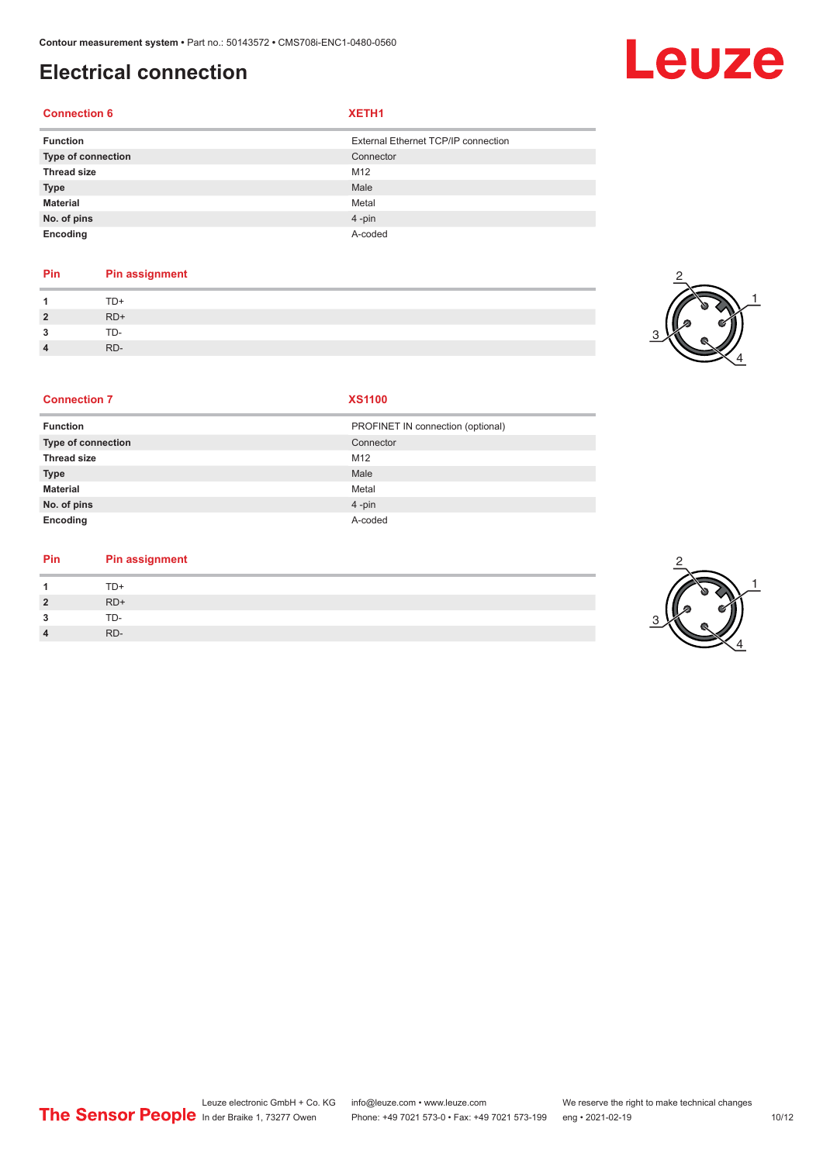# **Electrical connection**

#### **Connection 6 XETH1**

| <b>Function</b>    | External Ethernet TCP/IP connection |
|--------------------|-------------------------------------|
| Type of connection | Connector                           |
| <b>Thread size</b> | M <sub>12</sub>                     |
| <b>Type</b>        | Male                                |
| <b>Material</b>    | Metal                               |
| No. of pins        | $4 - pin$                           |
| Encoding           | A-coded                             |

### **Pin Pin assignment**

| $\boldsymbol{A}$ | .     |
|------------------|-------|
| $\overline{2}$   | $RD+$ |
| $\mathbf{3}$     | TD-   |
| $\overline{4}$   | RD-   |



#### **Connection 7 XS1100**

| <b>Function</b>    | PROFINET IN connection (optional) |
|--------------------|-----------------------------------|
| Type of connection | Connector                         |
| <b>Thread size</b> | M12                               |
| <b>Type</b>        | Male                              |
| <b>Material</b>    | Metal                             |
| No. of pins        | $4 - pin$                         |
| Encoding           | A-coded                           |

#### **Pin Pin assignment**

| $\overline{A}$ | TD+   |
|----------------|-------|
| $\overline{2}$ | $RD+$ |
| 3              | TD-   |
| $\overline{4}$ | RD-   |



# Leuze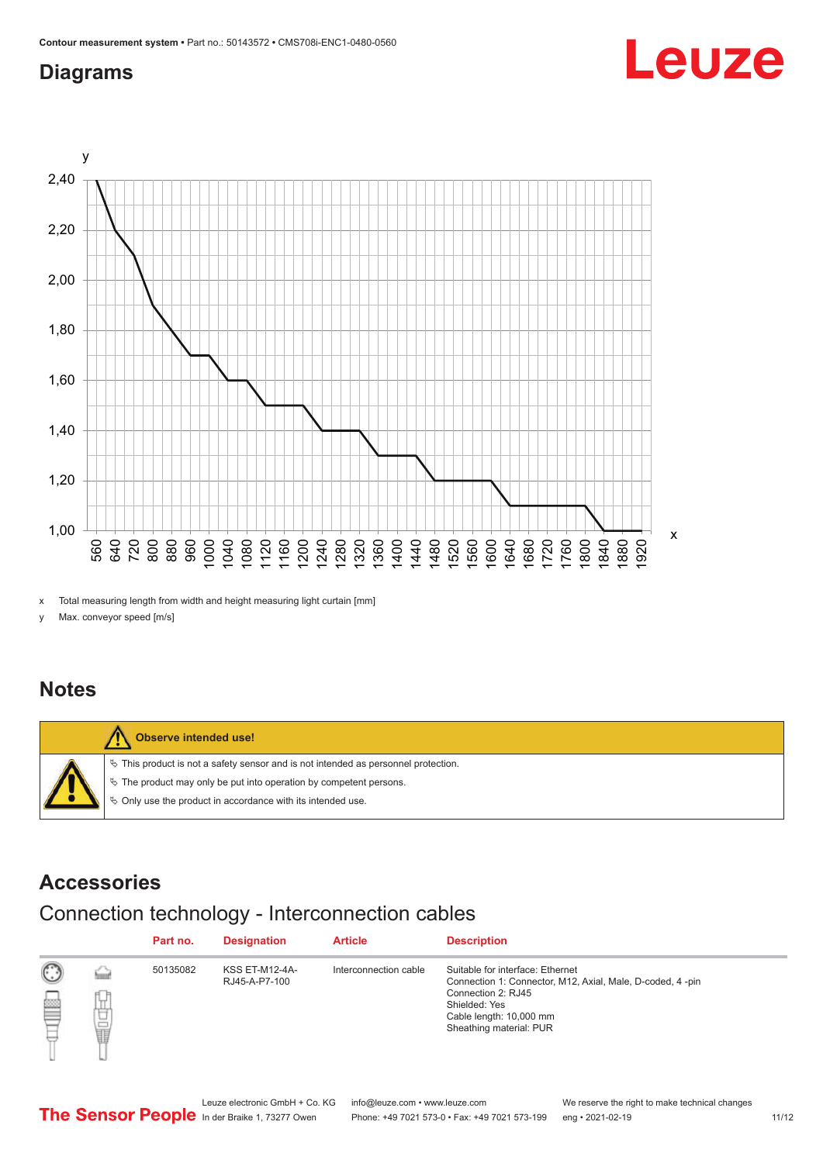## <span id="page-10-0"></span>**Diagrams**



x Total measuring length from width and height measuring light curtain [mm]

y Max. conveyor speed [m/s]

### **Notes**



### **Accessories**

# Connection technology - Interconnection cables

|   |                      | Part no. | <b>Designation</b>              | <b>Article</b>        | <b>Description</b>                                                                                                                                                                         |
|---|----------------------|----------|---------------------------------|-----------------------|--------------------------------------------------------------------------------------------------------------------------------------------------------------------------------------------|
| œ | ٢.,<br>t<br><b>O</b> | 50135082 | KSS ET-M12-4A-<br>RJ45-A-P7-100 | Interconnection cable | Suitable for interface: Ethernet<br>Connection 1: Connector, M12, Axial, Male, D-coded, 4-pin<br>Connection 2: RJ45<br>Shielded: Yes<br>Cable length: 10,000 mm<br>Sheathing material: PUR |

Leuze